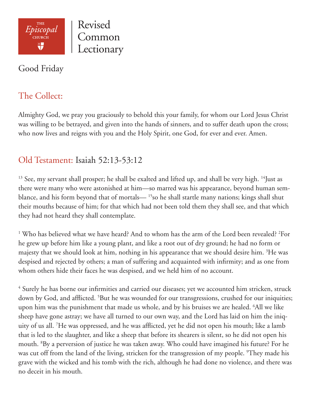

Revised Common Lectionary

### Good Friday

# The Collect:

Almighty God, we pray you graciously to behold this your family, for whom our Lord Jesus Christ was willing to be betrayed, and given into the hands of sinners, and to suffer death upon the cross; who now lives and reigns with you and the Holy Spirit, one God, for ever and ever. Amen.

## Old Testament: Isaiah 52:13-53:12

<sup>13</sup> See, my servant shall prosper; he shall be exalted and lifted up, and shall be very high. <sup>14</sup>Just as there were many who were astonished at him—so marred was his appearance, beyond human semblance, and his form beyond that of mortals— 15so he shall startle many nations; kings shall shut their mouths because of him; for that which had not been told them they shall see, and that which they had not heard they shall contemplate.

<sup>1</sup> Who has believed what we have heard? And to whom has the arm of the Lord been revealed? <sup>2</sup>For he grew up before him like a young plant, and like a root out of dry ground; he had no form or majesty that we should look at him, nothing in his appearance that we should desire him. <sup>3</sup>He was despised and rejected by others; a man of suffering and acquainted with infirmity; and as one from whom others hide their faces he was despised, and we held him of no account.

4 Surely he has borne our infirmities and carried our diseases; yet we accounted him stricken, struck down by God, and afflicted. <sup>5</sup>But he was wounded for our transgressions, crushed for our iniquities; upon him was the punishment that made us whole, and by his bruises we are healed. 6 All we like sheep have gone astray; we have all turned to our own way, and the Lord has laid on him the iniquity of us all. 7 He was oppressed, and he was afflicted, yet he did not open his mouth; like a lamb that is led to the slaughter, and like a sheep that before its shearers is silent, so he did not open his mouth. 8 By a perversion of justice he was taken away. Who could have imagined his future? For he was cut off from the land of the living, stricken for the transgression of my people. <sup>9</sup>They made his grave with the wicked and his tomb with the rich, although he had done no violence, and there was no deceit in his mouth.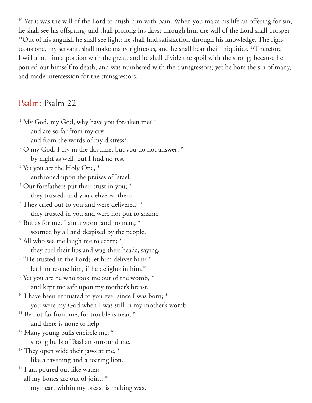<sup>10</sup> Yet it was the will of the Lord to crush him with pain. When you make his life an offering for sin, he shall see his offspring, and shall prolong his days; through him the will of the Lord shall prosper. <sup>11</sup>Out of his anguish he shall see light; he shall find satisfaction through his knowledge. The righteous one, my servant, shall make many righteous, and he shall bear their iniquities. 12Therefore I will allot him a portion with the great, and he shall divide the spoil with the strong; because he poured out himself to death, and was numbered with the transgressors; yet he bore the sin of many, and made intercession for the transgressors.

### Psalm: Psalm 22

<sup>1</sup> My God, my God, why have you forsaken me? \* and are so far from my cry and from the words of my distress? <sup>2</sup> O my God, I cry in the daytime, but you do not answer; \* by night as well, but I find no rest. <sup>3</sup> Yet you are the Holy One,  $*$  enthroned upon the praises of Israel. <sup>4</sup> Our forefathers put their trust in you; \* they trusted, and you delivered them. <sup>5</sup> They cried out to you and were delivered; \* they trusted in you and were not put to shame.  $6$  But as for me, I am a worm and no man,  $*$  scorned by all and despised by the people. <sup>7</sup> All who see me laugh me to scorn; \* they curl their lips and wag their heads, saying, 8 "He trusted in the Lord; let him deliver him; \* let him rescue him, if he delights in him." <sup>9</sup> Yet you are he who took me out of the womb,  $*$  and kept me safe upon my mother's breast. <sup>10</sup> I have been entrusted to you ever since I was born;  $*$  you were my God when I was still in my mother's womb. <sup>11</sup> Be not far from me, for trouble is near,  $*$  and there is none to help. <sup>12</sup> Many young bulls encircle me; \* strong bulls of Bashan surround me. <sup>13</sup> They open wide their jaws at me,  $*$  like a ravening and a roaring lion. <sup>14</sup> I am poured out like water; all my bones are out of joint; \* my heart within my breast is melting wax.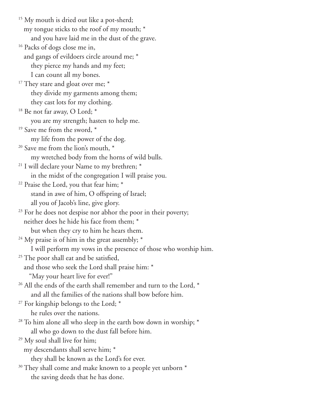<sup>15</sup> My mouth is dried out like a pot-sherd; my tongue sticks to the roof of my mouth; \* and you have laid me in the dust of the grave. <sup>16</sup> Packs of dogs close me in, and gangs of evildoers circle around me; \* they pierce my hands and my feet; I can count all my bones.  $17$  They stare and gloat over me;  $*$  they divide my garments among them; they cast lots for my clothing.  $18$  Be not far away, O Lord;  $*$  you are my strength; hasten to help me. <sup>19</sup> Save me from the sword, \* my life from the power of the dog.  $20$  Save me from the lion's mouth,  $*$  my wretched body from the horns of wild bulls. <sup>21</sup> I will declare your Name to my brethren; \* in the midst of the congregation I will praise you.  $22$  Praise the Lord, you that fear him;  $*$  stand in awe of him, O offspring of Israel; all you of Jacob's line, give glory. <sup>23</sup> For he does not despise nor abhor the poor in their poverty; neither does he hide his face from them; \* but when they cry to him he hears them. <sup>24</sup> My praise is of him in the great assembly;  $*$  I will perform my vows in the presence of those who worship him. <sup>25</sup> The poor shall eat and be satisfied, and those who seek the Lord shall praise him: \* "May your heart live for ever!"  $26$  All the ends of the earth shall remember and turn to the Lord,  $*$  and all the families of the nations shall bow before him.  $27$  For kingship belongs to the Lord;  $*$  he rules over the nations.  $28$  To him alone all who sleep in the earth bow down in worship;  $*$  all who go down to the dust fall before him. <sup>29</sup> My soul shall live for him; my descendants shall serve him; \* they shall be known as the Lord's for ever.  $30$  They shall come and make known to a people yet unborn  $*$ the saving deeds that he has done.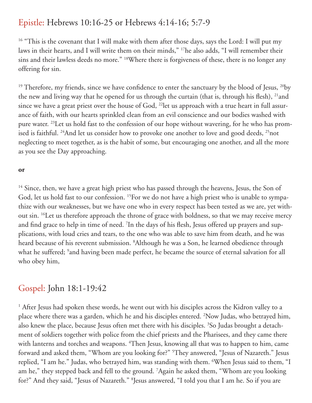## Epistle: Hebrews 10:16-25 or Hebrews 4:14-16; 5:7-9

<sup>16</sup> "This is the covenant that I will make with them after those days, says the Lord: I will put my laws in their hearts, and I will write them on their minds," 17he also adds, "I will remember their sins and their lawless deeds no more." <sup>18</sup>Where there is forgiveness of these, there is no longer any offering for sin.

<sup>19</sup> Therefore, my friends, since we have confidence to enter the sanctuary by the blood of Jesus, <sup>20</sup>by the new and living way that he opened for us through the curtain (that is, through his flesh), <sup>21</sup>and since we have a great priest over the house of God, <sup>22</sup>let us approach with a true heart in full assurance of faith, with our hearts sprinkled clean from an evil conscience and our bodies washed with pure water. 23Let us hold fast to the confession of our hope without wavering, for he who has promised is faithful. <sup>24</sup>And let us consider how to provoke one another to love and good deeds, <sup>25</sup>not neglecting to meet together, as is the habit of some, but encouraging one another, and all the more as you see the Day approaching.

#### **or**

<sup>14</sup> Since, then, we have a great high priest who has passed through the heavens, Jesus, the Son of God, let us hold fast to our confession. <sup>15</sup>For we do not have a high priest who is unable to sympathize with our weaknesses, but we have one who in every respect has been tested as we are, yet without sin. <sup>16</sup>Let us therefore approach the throne of grace with boldness, so that we may receive mercy and find grace to help in time of need. 7 In the days of his flesh, Jesus offered up prayers and supplications, with loud cries and tears, to the one who was able to save him from death, and he was heard because of his reverent submission. 8 Although he was a Son, he learned obedience through what he suffered; <sup>9</sup>and having been made perfect, he became the source of eternal salvation for all who obey him,

### Gospel: John 18:1-19:42

<sup>1</sup> After Jesus had spoken these words, he went out with his disciples across the Kidron valley to a place where there was a garden, which he and his disciples entered. 2 Now Judas, who betrayed him, also knew the place, because Jesus often met there with his disciples. 3 So Judas brought a detachment of soldiers together with police from the chief priests and the Pharisees, and they came there with lanterns and torches and weapons. <sup>4</sup>Then Jesus, knowing all that was to happen to him, came forward and asked them, "Whom are you looking for?" 5 They answered, "Jesus of Nazareth." Jesus replied, "I am he." Judas, who betrayed him, was standing with them. 6 When Jesus said to them, "I am he," they stepped back and fell to the ground. 7 Again he asked them, "Whom are you looking for?" And they said, "Jesus of Nazareth." 8 Jesus answered, "I told you that I am he. So if you are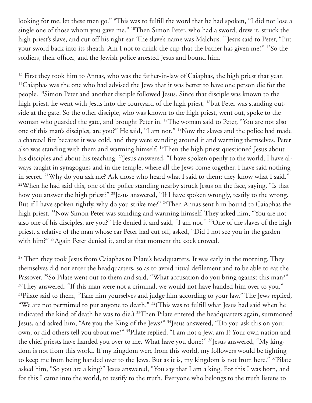looking for me, let these men go." 9 This was to fulfill the word that he had spoken, "I did not lose a single one of those whom you gave me." <sup>10</sup>Then Simon Peter, who had a sword, drew it, struck the high priest's slave, and cut off his right ear. The slave's name was Malchus. <sup>11</sup> Jesus said to Peter, "Put your sword back into its sheath. Am I not to drink the cup that the Father has given me?" 12So the soldiers, their officer, and the Jewish police arrested Jesus and bound him.

 $13$  First they took him to Annas, who was the father-in-law of Caiaphas, the high priest that year. <sup>14</sup>Caiaphas was the one who had advised the Jews that it was better to have one person die for the people. 15Simon Peter and another disciple followed Jesus. Since that disciple was known to the high priest, he went with Jesus into the courtyard of the high priest, <sup>16</sup>but Peter was standing outside at the gate. So the other disciple, who was known to the high priest, went out, spoke to the woman who guarded the gate, and brought Peter in. 17The woman said to Peter, "You are not also one of this man's disciples, are you?" He said, "I am not." 18Now the slaves and the police had made a charcoal fire because it was cold, and they were standing around it and warming themselves. Peter also was standing with them and warming himself. 19Then the high priest questioned Jesus about his disciples and about his teaching. <sup>20</sup>Jesus answered, "I have spoken openly to the world; I have always taught in synagogues and in the temple, where all the Jews come together. I have said nothing in secret. 21Why do you ask me? Ask those who heard what I said to them; they know what I said." <sup>22</sup>When he had said this, one of the police standing nearby struck Jesus on the face, saying, "Is that how you answer the high priest?" 23Jesus answered, "If I have spoken wrongly, testify to the wrong. But if I have spoken rightly, why do you strike me?" <sup>24</sup>Then Annas sent him bound to Caiaphas the high priest. <sup>25</sup>Now Simon Peter was standing and warming himself. They asked him, "You are not also one of his disciples, are you?" He denied it and said, "I am not." <sup>26</sup>One of the slaves of the high priest, a relative of the man whose ear Peter had cut off, asked, "Did I not see you in the garden with him?" 27Again Peter denied it, and at that moment the cock crowed.

<sup>28</sup> Then they took Jesus from Caiaphas to Pilate's headquarters. It was early in the morning. They themselves did not enter the headquarters, so as to avoid ritual defilement and to be able to eat the Passover. <sup>29</sup>So Pilate went out to them and said, "What accusation do you bring against this man?" <sup>30</sup>They answered, "If this man were not a criminal, we would not have handed him over to you." <sup>31</sup>Pilate said to them, "Take him yourselves and judge him according to your law." The Jews replied, "We are not permitted to put anyone to death." 32(This was to fulfill what Jesus had said when he indicated the kind of death he was to die.) <sup>33</sup>Then Pilate entered the headquarters again, summoned Jesus, and asked him, "Are you the King of the Jews?" 34Jesus answered, "Do you ask this on your own, or did others tell you about me?" 35Pilate replied, "I am not a Jew, am I? Your own nation and the chief priests have handed you over to me. What have you done?" <sup>36</sup>Jesus answered, "My kingdom is not from this world. If my kingdom were from this world, my followers would be fighting to keep me from being handed over to the Jews. But as it is, my kingdom is not from here." 37Pilate asked him, "So you are a king?" Jesus answered, "You say that I am a king. For this I was born, and for this I came into the world, to testify to the truth. Everyone who belongs to the truth listens to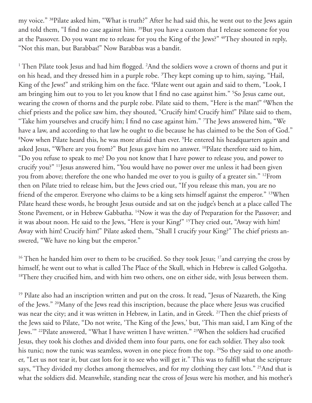my voice." 38Pilate asked him, "What is truth?" After he had said this, he went out to the Jews again and told them, "I find no case against him. <sup>39</sup>But you have a custom that I release someone for you at the Passover. Do you want me to release for you the King of the Jews?" <sup>40</sup>They shouted in reply, "Not this man, but Barabbas!" Now Barabbas was a bandit.

<sup>1</sup> Then Pilate took Jesus and had him flogged. <sup>2</sup>And the soldiers wove a crown of thorns and put it on his head, and they dressed him in a purple robe. <sup>3</sup>They kept coming up to him, saying, "Hail, King of the Jews!" and striking him on the face. <sup>4</sup>Pilate went out again and said to them, "Look, I am bringing him out to you to let you know that I find no case against him." 5 So Jesus came out, wearing the crown of thorns and the purple robe. Pilate said to them, "Here is the man!" 6 When the chief priests and the police saw him, they shouted, "Crucify him! Crucify him!" Pilate said to them, "Take him yourselves and crucify him; I find no case against him." 7 The Jews answered him, "We have a law, and according to that law he ought to die because he has claimed to be the Son of God." 8 Now when Pilate heard this, he was more afraid than ever. 9 He entered his headquarters again and asked Jesus, "Where are you from?" But Jesus gave him no answer. 10Pilate therefore said to him, "Do you refuse to speak to me? Do you not know that I have power to release you, and power to crucify you?" 11Jesus answered him, "You would have no power over me unless it had been given you from above; therefore the one who handed me over to you is guilty of a greater sin." 12From then on Pilate tried to release him, but the Jews cried out, "If you release this man, you are no friend of the emperor. Everyone who claims to be a king sets himself against the emperor." 13When Pilate heard these words, he brought Jesus outside and sat on the judge's bench at a place called The Stone Pavement, or in Hebrew Gabbatha. <sup>14</sup>Now it was the day of Preparation for the Passover; and it was about noon. He said to the Jews, "Here is your King!" 15They cried out, "Away with him! Away with him! Crucify him!" Pilate asked them, "Shall I crucify your King?" The chief priests answered, "We have no king but the emperor."

<sup>16</sup> Then he handed him over to them to be crucified. So they took Jesus; <sup>17</sup>and carrying the cross by himself, he went out to what is called The Place of the Skull, which in Hebrew is called Golgotha. <sup>18</sup>There they crucified him, and with him two others, one on either side, with Jesus between them.

<sup>19</sup> Pilate also had an inscription written and put on the cross. It read, "Jesus of Nazareth, the King of the Jews." 20Many of the Jews read this inscription, because the place where Jesus was crucified was near the city; and it was written in Hebrew, in Latin, and in Greek. 21Then the chief priests of the Jews said to Pilate, "Do not write, 'The King of the Jews,' but, 'This man said, I am King of the Jews.'" 22Pilate answered, "What I have written I have written." 23When the soldiers had crucified Jesus, they took his clothes and divided them into four parts, one for each soldier. They also took his tunic; now the tunic was seamless, woven in one piece from the top. <sup>24</sup>So they said to one another, "Let us not tear it, but cast lots for it to see who will get it." This was to fulfill what the scripture says, "They divided my clothes among themselves, and for my clothing they cast lots." <sup>25</sup>And that is what the soldiers did. Meanwhile, standing near the cross of Jesus were his mother, and his mother's